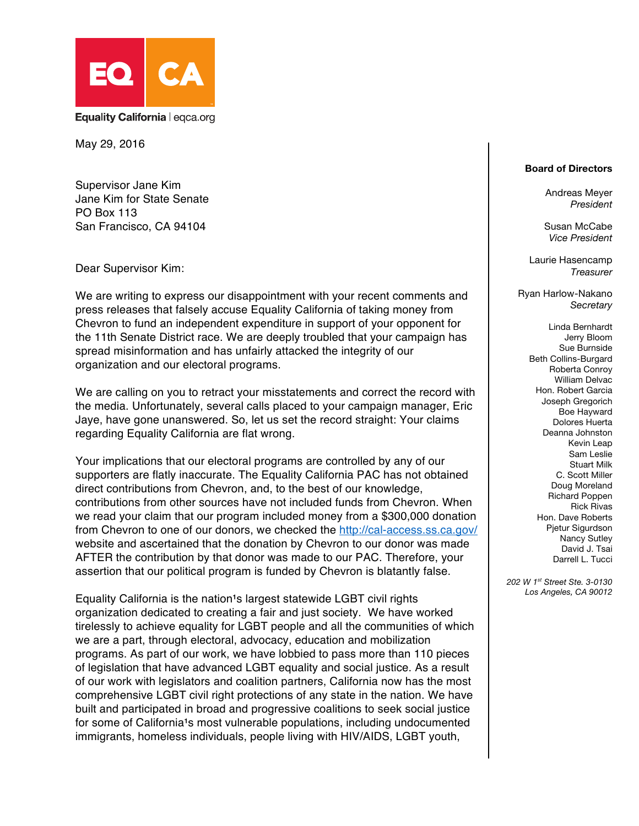

May 29, 2016

Supervisor Jane Kim Jane Kim for State Senate PO Box 113 San Francisco, CA 94104

Dear Supervisor Kim:

We are writing to express our disappointment with your recent comments and press releases that falsely accuse Equality California of taking money from Chevron to fund an independent expenditure in support of your opponent for the 11th Senate District race. We are deeply troubled that your campaign has spread misinformation and has unfairly attacked the integrity of our organization and our electoral programs.

We are calling on you to retract your misstatements and correct the record with the media. Unfortunately, several calls placed to your campaign manager, Eric Jaye, have gone unanswered. So, let us set the record straight: Your claims regarding Equality California are flat wrong.

Your implications that our electoral programs are controlled by any of our supporters are flatly inaccurate. The Equality California PAC has not obtained direct contributions from Chevron, and, to the best of our knowledge, contributions from other sources have not included funds from Chevron. When we read your claim that our program included money from a \$300,000 donation from Chevron to one of our donors, we checked the http://cal-access.ss.ca.gov/ website and ascertained that the donation by Chevron to our donor was made AFTER the contribution by that donor was made to our PAC. Therefore, your assertion that our political program is funded by Chevron is blatantly false.

Equality California is the nation<sup>1</sup>s largest statewide LGBT civil rights organization dedicated to creating a fair and just society. We have worked tirelessly to achieve equality for LGBT people and all the communities of which we are a part, through electoral, advocacy, education and mobilization programs. As part of our work, we have lobbied to pass more than 110 pieces of legislation that have advanced LGBT equality and social justice. As a result of our work with legislators and coalition partners, California now has the most comprehensive LGBT civil right protections of any state in the nation. We have built and participated in broad and progressive coalitions to seek social justice for some of California<sup>1</sup>s most vulnerable populations, including undocumented immigrants, homeless individuals, people living with HIV/AIDS, LGBT youth,

## **Board of Directors**

Andreas Meyer *President*

Susan McCabe *Vice President*

Laurie Hasencamp *Treasurer*

Ryan Harlow-Nakano *Secretary*

> Linda Bernhardt Jerry Bloom Sue Burnside Beth Collins-Burgard Roberta Conroy William Delvac Hon. Robert Garcia Joseph Gregorich Boe Hayward Dolores Huerta Deanna Johnston Kevin Leap Sam Leslie Stuart Milk C. Scott Miller Doug Moreland Richard Poppen Rick Rivas Hon. Dave Roberts Pjetur Sigurdson Nancy Sutley David J. Tsai Darrell L. Tucci

*202 W 1st Street Ste. 3-0130 Los Angeles, CA 90012*